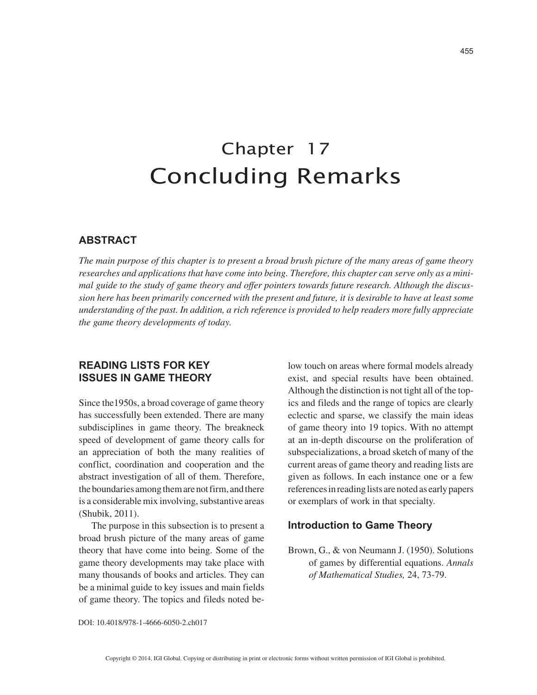# Chapter 17 Concluding Remarks

## **ABSTRACT**

*The main purpose of this chapter is to present a broad brush picture of the many areas of game theory researches and applications that have come into being. Therefore, this chapter can serve only as a minimal guide to the study of game theory and offer pointers towards future research. Although the discussion here has been primarily concerned with the present and future, it is desirable to have at least some understanding of the past. In addition, a rich reference is provided to help readers more fully appreciate the game theory developments of today.*

# **READING LISTS FOR KEY ISSUES IN GAME THEORY**

Since the1950s, a broad coverage of game theory has successfully been extended. There are many subdisciplines in game theory. The breakneck speed of development of game theory calls for an appreciation of both the many realities of conflict, coordination and cooperation and the abstract investigation of all of them. Therefore, the boundaries among them are not firm, and there is a considerable mix involving, substantive areas (Shubik, 2011).

The purpose in this subsection is to present a broad brush picture of the many areas of game theory that have come into being. Some of the game theory developments may take place with many thousands of books and articles. They can be a minimal guide to key issues and main fields of game theory. The topics and fileds noted below touch on areas where formal models already exist, and special results have been obtained. Although the distinction is not tight all of the topics and fileds and the range of topics are clearly eclectic and sparse, we classify the main ideas of game theory into 19 topics. With no attempt at an in-depth discourse on the proliferation of subspecializations, a broad sketch of many of the current areas of game theory and reading lists are given as follows. In each instance one or a few references in reading lists are noted as early papers or exemplars of work in that specialty.

## **Introduction to Game Theory**

Brown, G., & von Neumann J. (1950). Solutions of games by differential equations. *Annals of Mathematical Studies,* 24, 73-79.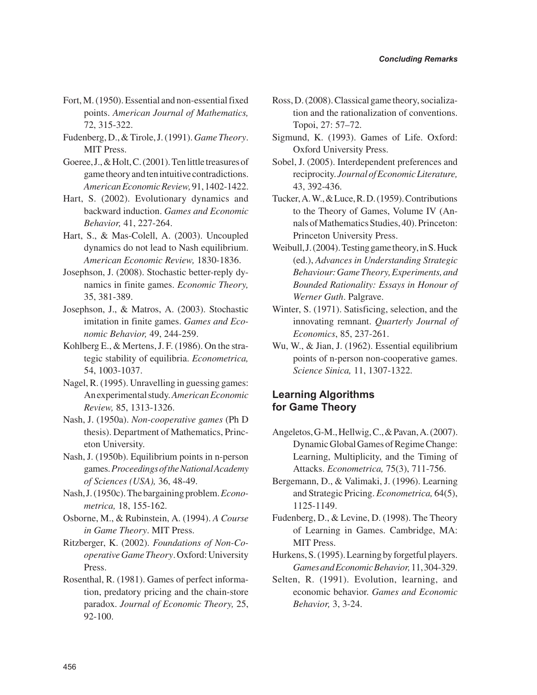- Fort, M. (1950). Essential and non-essential fixed points. *American Journal of Mathematics,* 72, 315-322.
- Fudenberg, D., & Tirole, J. (1991). *Game Theory*. MIT Press.
- Goeree, J., & Holt, C. (2001). Ten little treasures of game theory and ten intuitive contradictions. *American Economic Review,* 91, 1402-1422.
- Hart, S. (2002). Evolutionary dynamics and backward induction. *Games and Economic Behavior,* 41, 227-264.
- Hart, S., & Mas-Colell, A. (2003). Uncoupled dynamics do not lead to Nash equilibrium. *American Economic Review,* 1830-1836.
- Josephson, J. (2008). Stochastic better-reply dynamics in finite games. *Economic Theory,* 35, 381-389.
- Josephson, J., & Matros, A. (2003). Stochastic imitation in finite games. *Games and Economic Behavior,* 49, 244-259.
- Kohlberg E., & Mertens, J. F. (1986). On the strategic stability of equilibria. *Econometrica,* 54, 1003-1037.
- Nagel, R. (1995). Unravelling in guessing games: An experimental study. *American Economic Review,* 85, 1313-1326.
- Nash, J. (1950a). *Non-cooperative games* (Ph D thesis). Department of Mathematics, Princeton University.
- Nash, J. (1950b). Equilibrium points in n-person games. *Proceedings of the National Academy of Sciences (USA),* 36, 48-49.
- Nash, J. (1950c). The bargaining problem. *Econometrica,* 18, 155-162.
- Osborne, M., & Rubinstein, A. (1994). *A Course in Game Theory*. MIT Press.
- Ritzberger, K. (2002). *Foundations of Non-Cooperative Game Theory*. Oxford: University Press.
- Rosenthal, R. (1981). Games of perfect information, predatory pricing and the chain-store paradox. *Journal of Economic Theory,* 25, 92-100.
- Ross, D. (2008). Classical game theory, socialization and the rationalization of conventions. Topoi, 27: 57–72.
- Sigmund, K. (1993). Games of Life. Oxford: Oxford University Press.
- Sobel, J. (2005). Interdependent preferences and reciprocity. *Journal of Economic Literature,* 43, 392-436.
- Tucker, A. W., & Luce, R. D. (1959). Contributions to the Theory of Games, Volume IV (Annals of Mathematics Studies, 40). Princeton: Princeton University Press.
- Weibull, J. (2004). Testing game theory, in S. Huck (ed.), *Advances in Understanding Strategic Behaviour: Game Theory, Experiments, and Bounded Rationality: Essays in Honour of Werner Guth*. Palgrave.
- Winter, S. (1971). Satisficing, selection, and the innovating remnant. *Quarterly Journal of Economics*, 85, 237-261.
- Wu, W., & Jian, J. (1962). Essential equilibrium points of n-person non-cooperative games. *Science Sinica,* 11, 1307-1322.

# **Learning Algorithms for Game Theory**

- Angeletos, G-M., Hellwig, C., & Pavan, A. (2007). Dynamic Global Games of Regime Change: Learning, Multiplicity, and the Timing of Attacks. *Econometrica,* 75(3), 711-756.
- Bergemann, D., & Valimaki, J. (1996). Learning and Strategic Pricing. *Econometrica,* 64(5), 1125-1149.
- Fudenberg, D., & Levine, D. (1998). The Theory of Learning in Games. Cambridge, MA: MIT Press.
- Hurkens, S. (1995). Learning by forgetful players. *Games and Economic Behavior,* 11, 304-329.
- Selten, R. (1991). Evolution, learning, and economic behavior. *Games and Economic Behavior,* 3, 3-24.